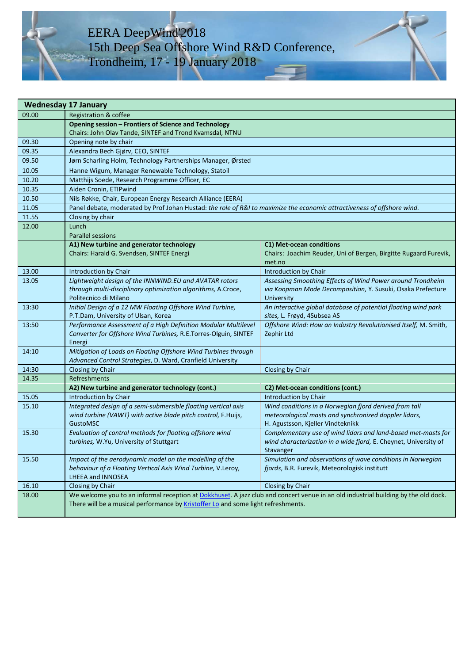# EERA DeepWind'2018 15th Deep Sea Offshore Wind R&D Conference, Trondheim, 17 - 19 January 2018

| <b>Wednesday 17 January</b> |                                                                                                                                    |                                                                                                              |  |  |
|-----------------------------|------------------------------------------------------------------------------------------------------------------------------------|--------------------------------------------------------------------------------------------------------------|--|--|
| 09.00                       | Registration & coffee                                                                                                              |                                                                                                              |  |  |
|                             | Opening session - Frontiers of Science and Technology                                                                              |                                                                                                              |  |  |
|                             | Chairs: John Olav Tande, SINTEF and Trond Kvamsdal, NTNU                                                                           |                                                                                                              |  |  |
| 09.30                       | Opening note by chair                                                                                                              |                                                                                                              |  |  |
| 09.35                       | Alexandra Bech Gjørv, CEO, SINTEF                                                                                                  |                                                                                                              |  |  |
| 09.50                       | Jørn Scharling Holm, Technology Partnerships Manager, Ørsted                                                                       |                                                                                                              |  |  |
| 10.05                       | Hanne Wigum, Manager Renewable Technology, Statoil                                                                                 |                                                                                                              |  |  |
| 10.20                       | Matthijs Soede, Research Programme Officer, EC                                                                                     |                                                                                                              |  |  |
| 10.35                       | Aiden Cronin, ETIPwind                                                                                                             |                                                                                                              |  |  |
| 10.50                       | Nils Røkke, Chair, European Energy Research Alliance (EERA)                                                                        |                                                                                                              |  |  |
| 11.05                       | Panel debate, moderated by Prof Johan Hustad: the role of R&I to maximize the economic attractiveness of offshore wind.            |                                                                                                              |  |  |
| 11.55                       | Closing by chair                                                                                                                   |                                                                                                              |  |  |
| 12.00                       | Lunch                                                                                                                              |                                                                                                              |  |  |
|                             | <b>Parallel sessions</b>                                                                                                           |                                                                                                              |  |  |
|                             | A1) New turbine and generator technology                                                                                           | C1) Met-ocean conditions                                                                                     |  |  |
|                             | Chairs: Harald G. Svendsen, SINTEF Energi                                                                                          | Chairs: Joachim Reuder, Uni of Bergen, Birgitte Rugaard Furevik,                                             |  |  |
|                             |                                                                                                                                    | met.no                                                                                                       |  |  |
| 13.00                       | Introduction by Chair                                                                                                              | Introduction by Chair                                                                                        |  |  |
| 13.05                       | Lightweight design of the INNWIND.EU and AVATAR rotors                                                                             | Assessing Smoothing Effects of Wind Power around Trondheim                                                   |  |  |
|                             | through multi-disciplinary optimization algorithms, A.Croce,<br>Politecnico di Milano                                              | via Koopman Mode Decomposition, Y. Susuki, Osaka Prefecture<br>University                                    |  |  |
| 13:30                       | Initial Design of a 12 MW Floating Offshore Wind Turbine,                                                                          | An interactive global database of potential floating wind park                                               |  |  |
|                             | P.T.Dam, University of Ulsan, Korea                                                                                                | sites, L. Frøyd, 4Subsea AS                                                                                  |  |  |
| 13:50                       | Performance Assessment of a High Definition Modular Multilevel                                                                     | Offshore Wind: How an Industry Revolutionised Itself, M. Smith,                                              |  |  |
|                             | Converter for Offshore Wind Turbines, R.E.Torres-Olguin, SINTEF                                                                    | Zephir Ltd                                                                                                   |  |  |
|                             | Energi                                                                                                                             |                                                                                                              |  |  |
| 14:10                       | Mitigation of Loads on Floating Offshore Wind Turbines through                                                                     |                                                                                                              |  |  |
|                             | Advanced Control Strategies, D. Ward, Cranfield University                                                                         |                                                                                                              |  |  |
| 14:30                       | Closing by Chair                                                                                                                   | Closing by Chair                                                                                             |  |  |
| 14.35                       | Refreshments                                                                                                                       |                                                                                                              |  |  |
|                             | A2) New turbine and generator technology (cont.)                                                                                   | C2) Met-ocean conditions (cont.)                                                                             |  |  |
| 15.05                       | Introduction by Chair                                                                                                              | <b>Introduction by Chair</b>                                                                                 |  |  |
| 15.10                       | Integrated design of a semi-submersible floating vertical axis                                                                     | Wind conditions in a Norwegian fjord derived from tall                                                       |  |  |
|                             | wind turbine (VAWT) with active blade pitch control, F.Huijs,                                                                      | meteorological masts and synchronized doppler lidars,                                                        |  |  |
|                             | <b>GustoMSC</b>                                                                                                                    | H. Agustsson, Kjeller Vindteknikk                                                                            |  |  |
| 15.30                       | Evaluation of control methods for floating offshore wind                                                                           | Complementary use of wind lidars and land-based met-masts for                                                |  |  |
|                             | turbines, W.Yu, University of Stuttgart                                                                                            | wind characterization in a wide fjord, E. Cheynet, University of                                             |  |  |
|                             |                                                                                                                                    | Stavanger                                                                                                    |  |  |
| 15.50                       | Impact of the aerodynamic model on the modelling of the<br>behaviour of a Floating Vertical Axis Wind Turbine, V.Leroy,            | Simulation and observations of wave conditions in Norwegian<br>fjords, B.R. Furevik, Meteorologisk institutt |  |  |
|                             | LHEEA and INNOSEA                                                                                                                  |                                                                                                              |  |  |
| 16.10                       | Closing by Chair                                                                                                                   | Closing by Chair                                                                                             |  |  |
| 18.00                       | We welcome you to an informal reception at Dokkhuset. A jazz club and concert venue in an old industrial building by the old dock. |                                                                                                              |  |  |
|                             | There will be a musical performance by Kristoffer Lo and some light refreshments.                                                  |                                                                                                              |  |  |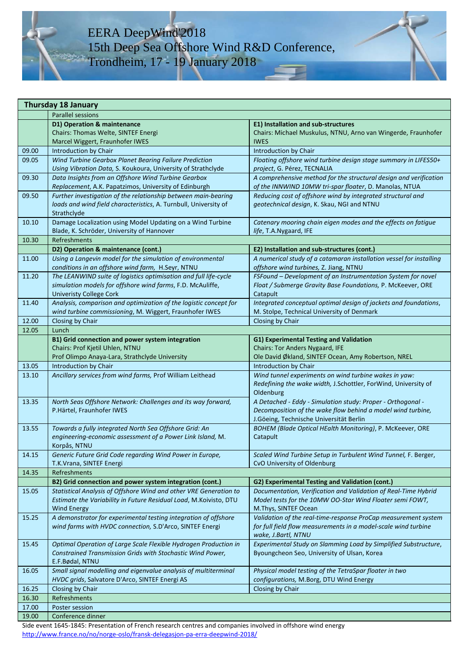# EERA DeepWind'2018 15th Deep Sea Offshore Wind R&D Conference, Trondheim, 17 - 19 January 2018

| <b>Thursday 18 January</b> |                                                                   |                                                                     |  |
|----------------------------|-------------------------------------------------------------------|---------------------------------------------------------------------|--|
|                            | <b>Parallel sessions</b>                                          |                                                                     |  |
|                            | D1) Operation & maintenance                                       | <b>E1) Installation and sub-structures</b>                          |  |
|                            | Chairs: Thomas Welte, SINTEF Energi                               | Chairs: Michael Muskulus, NTNU, Arno van Wingerde, Fraunhofer       |  |
|                            | Marcel Wiggert, Fraunhofer IWES                                   | <b>IWES</b>                                                         |  |
| 09.00                      | <b>Introduction by Chair</b>                                      | Introduction by Chair                                               |  |
| 09.05                      | Wind Turbine Gearbox Planet Bearing Failure Prediction            | Floating offshore wind turbine design stage summary in LIFES50+     |  |
|                            | Using Vibration Data, S. Koukoura, University of Strathclyde      | project, G. Pérez, TECNALIA                                         |  |
| 09.30                      | Data Insights from an Offshore Wind Turbine Gearbox               | A comprehensive method for the structural design and verification   |  |
|                            | Replacement, A.K. Papatzimos, University of Edinburgh             | of the INNWIND 10MW tri-spar floater, D. Manolas, NTUA              |  |
| 09.50                      | Further investigation of the relationship between main-bearing    | Reducing cost of offshore wind by integrated structural and         |  |
|                            | loads and wind field characteristics, A. Turnbull, University of  | geotechnical design, K. Skau, NGI and NTNU                          |  |
|                            | Strathclyde                                                       |                                                                     |  |
| 10.10                      | Damage Localization using Model Updating on a Wind Turbine        | Catenary mooring chain eigen modes and the effects on fatigue       |  |
|                            | Blade, K. Schröder, University of Hannover                        | life, T.A.Nygaard, IFE                                              |  |
| 10.30                      | Refreshments                                                      |                                                                     |  |
|                            |                                                                   |                                                                     |  |
|                            | D2) Operation & maintenance (cont.)                               | E2) Installation and sub-structures (cont.)                         |  |
| 11.00                      | Using a Langevin model for the simulation of environmental        | A numerical study of a catamaran installation vessel for installing |  |
|                            | conditions in an offshore wind farm, H.Seyr, NTNU                 | offshore wind turbines, Z. Jiang, NTNU                              |  |
| 11.20                      | The LEANWIND suite of logistics optimisation and full life-cycle  | FSFound - Development of an Instrumentation System for novel        |  |
|                            | simulation models for offshore wind farms, F.D. McAuliffe,        | Float / Submerge Gravity Base Foundations, P. McKeever, ORE         |  |
|                            | <b>Univeristy College Cork</b>                                    | Catapult                                                            |  |
| 11.40                      | Analysis, comparison and optimization of the logistic concept for | Integrated conceptual optimal design of jackets and foundations,    |  |
|                            | wind turbine commissioning, M. Wiggert, Fraunhofer IWES           | M. Stolpe, Technical University of Denmark                          |  |
| 12.00                      | Closing by Chair                                                  | Closing by Chair                                                    |  |
| 12.05                      | Lunch                                                             |                                                                     |  |
|                            | B1) Grid connection and power system integration                  | G1) Experimental Testing and Validation                             |  |
|                            | Chairs: Prof Kjetil Uhlen, NTNU                                   | Chairs: Tor Anders Nygaard, IFE                                     |  |
|                            | Prof Olimpo Anaya-Lara, Strathclyde University                    | Ole David Økland, SINTEF Ocean, Amy Robertson, NREL                 |  |
| 13.05                      | Introduction by Chair                                             | Introduction by Chair                                               |  |
| 13.10                      | Ancillary services from wind farms, Prof William Leithead         | Wind tunnel experiments on wind turbine wakes in yaw:               |  |
|                            |                                                                   | Redefining the wake width, J.Schottler, ForWind, University of      |  |
|                            |                                                                   | Oldenburg                                                           |  |
| 13.35                      | North Seas Offshore Network: Challenges and its way forward,      | A Detached - Eddy - Simulation study: Proper - Orthogonal -         |  |
|                            | P.Härtel, Fraunhofer IWES                                         | Decomposition of the wake flow behind a model wind turbine,         |  |
|                            |                                                                   | J.Göeing, Technische Universität Berlin                             |  |
| 13.55                      | Towards a fully integrated North Sea Offshore Grid: An            | BOHEM (Blade Optical HEalth Monitoring), P. McKeever, ORE           |  |
|                            | engineering-economic assessment of a Power Link Island, M.        | Catapult                                                            |  |
|                            | Korpås, NTNU                                                      |                                                                     |  |
| 14.15                      | Generic Future Grid Code regarding Wind Power in Europe,          | Scaled Wind Turbine Setup in Turbulent Wind Tunnel, F. Berger,      |  |
|                            | T.K.Vrana, SINTEF Energi                                          | CvO University of Oldenburg                                         |  |
| 14.35                      | Refreshments                                                      |                                                                     |  |
|                            | B2) Grid connection and power system integration (cont.)          | G2) Experimental Testing and Validation (cont.)                     |  |
| 15.05                      | Statistical Analysis of Offshore Wind and other VRE Generation to | Documentation, Verification and Validation of Real-Time Hybrid      |  |
|                            | Estimate the Variability in Future Residual Load, M.Koivisto, DTU | Model tests for the 10MW OO-Star Wind Floater semi FOWT,            |  |
|                            | Wind Energy                                                       | M.Thys, SINTEF Ocean                                                |  |
| 15.25                      | A demonstrator for experimental testing integration of offshore   | Validation of the real-time-response ProCap measurement system      |  |
|                            | wind farms with HVDC connection, S.D'Arco, SINTEF Energi          | for full field flow measurements in a model-scale wind turbine      |  |
|                            |                                                                   | wake, J.Bartl, NTNU                                                 |  |
| 15.45                      | Optimal Operation of Large Scale Flexible Hydrogen Production in  | Experimental Study on Slamming Load by Simplified Substructure,     |  |
|                            | Constrained Transmission Grids with Stochastic Wind Power,        | Byoungcheon Seo, University of Ulsan, Korea                         |  |
|                            | E.F.Bødal, NTNU                                                   |                                                                     |  |
| 16.05                      | Small signal modelling and eigenvalue analysis of multiterminal   | Physical model testing of the TetraSpar floater in two              |  |
|                            | HVDC grids, Salvatore D'Arco, SINTEF Energi AS                    | configurations, M.Borg, DTU Wind Energy                             |  |
| 16.25                      | Closing by Chair                                                  | Closing by Chair                                                    |  |
| 16.30                      | Refreshments                                                      |                                                                     |  |
| 17.00                      | Poster session                                                    |                                                                     |  |
| 19.00                      | Conference dinner                                                 |                                                                     |  |
|                            |                                                                   |                                                                     |  |

Side event 1645-1845: Presentation of French research centres and companies involved in offshore wind energy <http://www.france.no/no/norge-oslo/fransk-delegasjon-pa-erra-deepwind-2018/>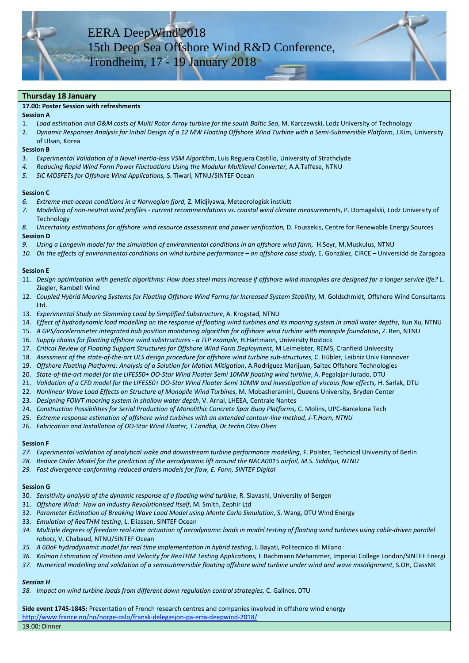### **Thursday 18 January**

#### **17.00: Poster Session with refreshments**

### **Session A**

- 1. *Load estimation and O&M costs of Multi Rotor Array turbine for the south Baltic Sea*, M. Karczewski, Lodz University of Technology
- 2. *Dynamic Responses Analysis for Initial Design of a 12 MW Floating Offshore Wind Turbine with a Semi-Submersible Platform*, J.Kim, University of Ulsan, Korea

#### **Session B**

- 3. *Experimental Validation of a Novel Inertia-less VSM Algorithm*, Luis Reguera Castillo, University of Strathclyde
- *4. Reducing Rapid Wind Farm Power Fluctuations Using the Modular Multilevel Converter,* A.A.Taffese, NTNU
- *5. SiC MOSFETs for Offshore Wind Applications,* S. Tiwari, NTNU/SINTEF Ocean

#### **Session C**

- *6. Extreme met-ocean conditions in a Norwegian fjord,* Z. Midjiyawa, Meteorologisk instiutt
- *7. Modelling of non-neutral wind profiles - current recommendations vs. coastal wind climate measurements*, P. Domagalski, Lodz University of **Technology**
- 8. Uncertainty estimations for offshore wind resource assessment and power verification, D. Foussekis, Centre for Renewable Energy Sources **Session D**
- *9. Using a Langevin model for the simulation of environmental conditions in an offshore wind farm,* H.Seyr, M.Muskulus, NTNU
- *10. On the effects of environmental conditions on wind turbine performance – an offshore case study,* E. González, CIRCE Universidd de Zaragoza

### **Session E**

- 11. *Design optimization with genetic algorithms: How does steel mass increase if offshore wind monopiles are designed for a longer service life?* L. Ziegler, Rambøll Wind
- 12. *Coupled Hybrid Mooring Systems for Floating Offshore Wind Farms for Increased System Stability*, M. Goldschmidt, Offshore Wind Consultants Ltd.
- 13. *Experimental Study on Slamming Load by Simplified Substructure*, A. Krogstad, NTNU
- 14. *Effect of hydrodynamic load modelling on the response of floating wind turbines and its mooring system in small water depths*, Kun Xu, NTNU
- 15. *A GPS/accelerometer integrated hub position monitoring algorithm for offshore wind turbine with monopile foundation*, Z. Ren, NTNU
- 16. *Supply chains for floating offshore wind substructures - a TLP example,* H.Hartmann, University Rostock
- 17. *Critical Review of Floating Support Structures for Offshore Wind Farm Deployment*, M Leimeister, REMS, Cranfield University
- 18. *Asessment of the state-of-the-art ULS design procedure for offshore wind turbine sub-structures*, C. Hübler, Leibniz Univ Hannover
- 19. *Offshore Floating Platforms: Analysis of a Solution for Motion Mitigation*, A.Rodriguez Marijuan, Saitec Offshore Technologies
- 20. *State-of-the-art model for the LIFES50+ OO-Star Wind Floater Semi 10MW floating wind turbine*, A. Pegalajar-Jurado, DTU
- 21. *Validation of a CFD model for the LIFES50+ OO-Star Wind Floater Semi 10MW and investigation of viscous flow effects,* H. Sarlak, DTU
- 22. *Nonlinear Wave Load Effects on Structure of Monopile Wind Turbines*, M. Mobasheramini, Queens University, Bryden Center
- 23. *Designing FOWT mooring system in shallow water depth*, V. Arnal, LHEEA, Centrale Nantes
- 24. *Construction Possibilities for Serial Production of Monolithic Concrete Spar Buoy Platforms,* C. Molins, UPC-Barcelona Tech
- 25. *Extreme response estimation of offshore wind turbines with an extended contour-line method, J-T.Horn, NTNU*
- 26. *Fabrication and Installation of OO-Star Wind Floater, T.Landbø, Dr.techn.Olav Olsen*

## **Session F**

- *27. Experimental validation of analytical wake and downstream turbine performance modelling*, F. Polster, Technical University of Berlin
- *28. Reduce Order Model for the prediction of the aerodynamic lift around the NACA0015 airfoil, M.S. Siddiqui, NTNU*
- *29. Fast divergence-conforming reduced orders models for flow, E. Fonn, SINTEF Digital*

## **Session G**

- 30. *Sensitivity analysis of the dynamic response of a floating wind turbine*, R. Siavashi, University of Bergen
- 31. *Offshore Wind: How an Industry Revolutionised Itself*, M. Smith, Zephir Ltd
- 32. *Parameter Estimation of Breaking Wave Load Model using Monte Carlo Simulation*, S. Wang, DTU Wind Energy
- 33. *Emulation of ReaTHM testing*, L. Eliassen, SINTEF Ocean
- *34. Multiple degrees of freedom real-time actuation of aerodynamic loads in model testing of floating wind turbines using cable-driven parallel robots*, V. Chabaud, NTNU/SINTEF Ocean
- *35. A 6DoF hydrodynamic model for real time implementation in hybrid testing*, I. Bayati, Politecnico di Milano
- *36. Kalman Estimation of Position and Velocity for ReaTHM Testing Applications,* E.Bachmann Mehammer, Imperial College London/SINTEF Energi
- *37. Numerical modelling and validation of a semisubmersible floating offshore wind turbine under wind and wave misalignment*, S.OH, ClassNK

## *Session H*

*38. Impact on wind turbine loads from different down regulation control strategies,* C. Galinos, DTU

**Side event 1745-1845:** Presentation of French research centres and companies involved in offshore wind energy <http://www.france.no/no/norge-oslo/fransk-delegasjon-pa-erra-deepwind-2018/>

19.00: Dinner